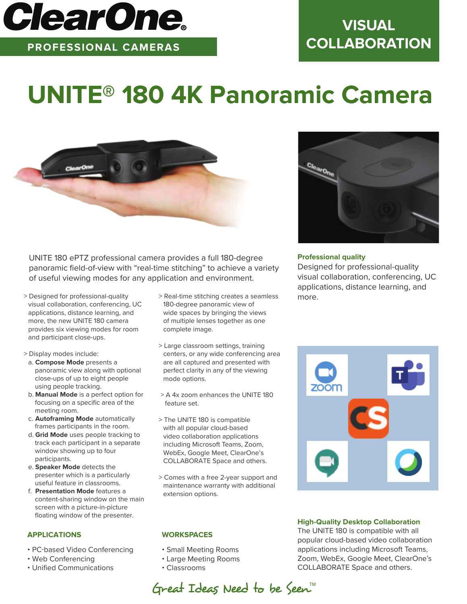

**PROFESSIONAL CAMERAS**

# **VISUAL COLLABORATION**

# **UNITE® 180 4K Panoramic Camera**



UNITE 180 ePTZ professional camera provides a full 180-degree panoramic field-of-view with "real-time stitching" to achieve a variety of useful viewing modes for any application and environment.

- > Designed for professional-quality visual collaboration, conferencing, UC applications, distance learning, and more, the new UNITE 180 camera provides six viewing modes for room and participant close-ups.
- > Display modes include:
- a. **Compose Mode** presents a panoramic view along with optional close-ups of up to eight people using people tracking.
- b. **Manual Mode** is a perfect option for focusing on a specific area of the meeting room.
- c. **Autoframing Mode** automatically frames participants in the room.
- d. **Grid Mode** uses people tracking to track each participant in a separate window showing up to four participants.
- e. **Speaker Mode** detects the presenter which is a particularly useful feature in classrooms.
- f. **Presentation Mode** features a content-sharing window on the main screen with a picture-in-picture floating window of the presenter.

## **APPLICATIONS**

- PC-based Video Conferencing
- Web Conferencing
- Unified Communications
- > Real-time stitching creates a seamless 180-degree panoramic view of wide spaces by bringing the views of multiple lenses together as one complete image.
- > Large classroom settings, training centers, or any wide conferencing area are all captured and presented with perfect clarity in any of the viewing mode options.
- > A 4x zoom enhances the UNITE 180 feature set.
- > The UNITE 180 is compatible with all popular cloud-based video collaboration applications including Microsoft Teams, Zoom, WebEx, Google Meet, ClearOne's COLLABORATE Space and others.
- > Comes with a free 2-year support and maintenance warranty with additional extension options.

## **WORKSPACES**

- Small Meeting Rooms
- Large Meeting Rooms
- Classrooms



### **Professional quality**

Designed for professional-quality visual collaboration, conferencing, UC applications, distance learning, and more.



**High-Quality Desktop Collaboration**

The UNITE 180 is compatible with all popular cloud-based video collaboration applications including Microsoft Teams, Zoom, WebEx, Google Meet, ClearOne's COLLABORATE Space and others.

Great Ideas Need to be Seen<sup>M</sup>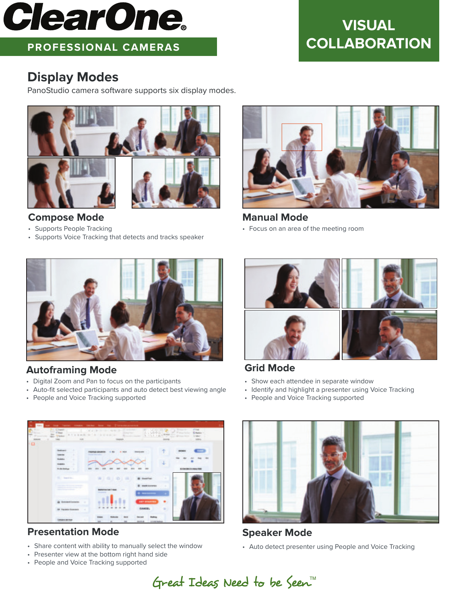# **ClearOne**

# **PROFESSIONAL CAMERAS**

# **VISUAL COLLABORATION**

# **Display Modes**

PanoStudio camera software supports six display modes.



## **Compose Mode**

- Supports People Tracking
- Supports Voice Tracking that detects and tracks speaker



**Manual Mode** • Focus on an area of the meeting room



# **Autoframing Mode**

- Digital Zoom and Pan to focus on the participants
- Auto-fit selected participants and auto detect best viewing angle
- People and Voice Tracking supported



**Grid Mode**

- Show each attendee in separate window
- Identify and highlight a presenter using Voice Tracking
- People and Voice Tracking supported



# **Presentation Mode**

- Share content with ability to manually select the window
- Presenter view at the bottom right hand side
- People and Voice Tracking supported



**Speaker Mode** 

• Auto detect presenter using People and Voice Tracking

Great Ideas Need to be Seen<sup>M</sup>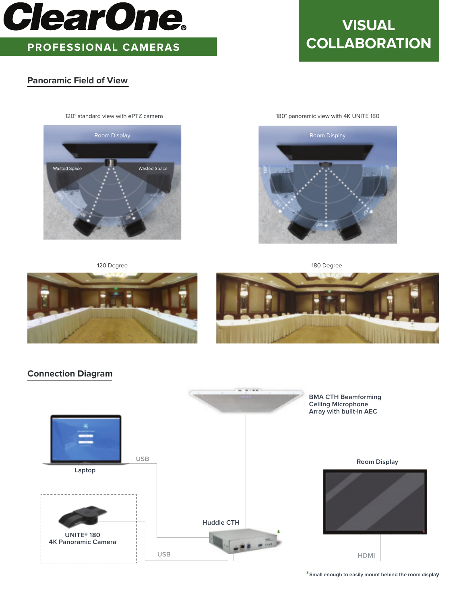

# **PROFESSIONAL CAMERAS**

## **Panoramic Field of View**

# **VISUAL COLLABORATION**



120 Degree 180 Degree 180 Degree 180 Degree 180 Degree 180 Degree







## **Connection Diagram**



\***Small enough to easily mount behind the room displa<sup>y</sup>**